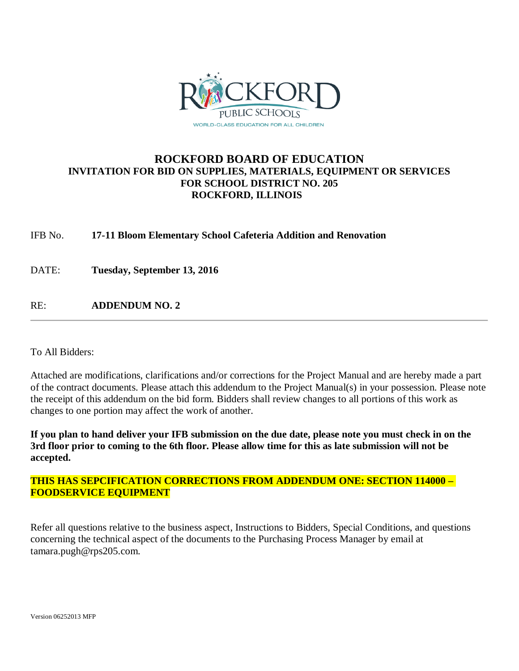

# **ROCKFORD BOARD OF EDUCATION INVITATION FOR BID ON SUPPLIES, MATERIALS, EQUIPMENT OR SERVICES FOR SCHOOL DISTRICT NO. 205 ROCKFORD, ILLINOIS**

IFB No. **17-11 Bloom Elementary School Cafeteria Addition and Renovation**

DATE: **Tuesday, September 13, 2016**

RE: **ADDENDUM NO. 2**

To All Bidders:

Attached are modifications, clarifications and/or corrections for the Project Manual and are hereby made a part of the contract documents. Please attach this addendum to the Project Manual(s) in your possession. Please note the receipt of this addendum on the bid form. Bidders shall review changes to all portions of this work as changes to one portion may affect the work of another.

**If you plan to hand deliver your IFB submission on the due date, please note you must check in on the 3rd floor prior to coming to the 6th floor. Please allow time for this as late submission will not be accepted.**

**THIS HAS SEPCIFICATION CORRECTIONS FROM ADDENDUM ONE: SECTION 114000 – FOODSERVICE EQUIPMENT**

Refer all questions relative to the business aspect, Instructions to Bidders, Special Conditions, and questions concerning the technical aspect of the documents to the Purchasing Process Manager by email at tamara.pugh@rps205.com.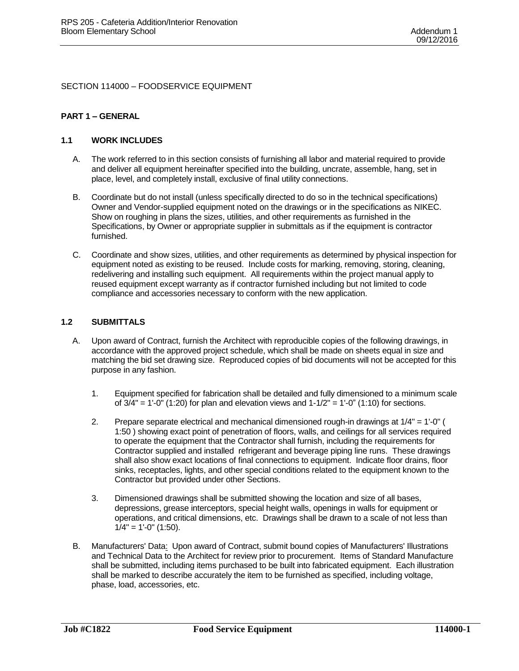SECTION 114000 – FOODSERVICE EQUIPMENT

#### **PART 1 – GENERAL**

#### **1.1 WORK INCLUDES**

- A. The work referred to in this section consists of furnishing all labor and material required to provide and deliver all equipment hereinafter specified into the building, uncrate, assemble, hang, set in place, level, and completely install, exclusive of final utility connections.
- B. Coordinate but do not install (unless specifically directed to do so in the technical specifications) Owner and Vendor-supplied equipment noted on the drawings or in the specifications as NIKEC. Show on roughing in plans the sizes, utilities, and other requirements as furnished in the Specifications, by Owner or appropriate supplier in submittals as if the equipment is contractor furnished.
- C. Coordinate and show sizes, utilities, and other requirements as determined by physical inspection for equipment noted as existing to be reused. Include costs for marking, removing, storing, cleaning, redelivering and installing such equipment. All requirements within the project manual apply to reused equipment except warranty as if contractor furnished including but not limited to code compliance and accessories necessary to conform with the new application.

#### **1.2 SUBMITTALS**

- A. Upon award of Contract, furnish the Architect with reproducible copies of the following drawings, in accordance with the approved project schedule, which shall be made on sheets equal in size and matching the bid set drawing size. Reproduced copies of bid documents will not be accepted for this purpose in any fashion.
	- 1. Equipment specified for fabrication shall be detailed and fully dimensioned to a minimum scale of  $3/4" = 1'-0"$  (1:20) for plan and elevation views and  $1-1/2" = 1'-0"$  (1:10) for sections.
	- 2. Prepare separate electrical and mechanical dimensioned rough-in drawings at 1/4" = 1'-0" ( 1:50 ) showing exact point of penetration of floors, walls, and ceilings for all services required to operate the equipment that the Contractor shall furnish, including the requirements for Contractor supplied and installed refrigerant and beverage piping line runs. These drawings shall also show exact locations of final connections to equipment. Indicate floor drains, floor sinks, receptacles, lights, and other special conditions related to the equipment known to the Contractor but provided under other Sections.
	- 3. Dimensioned drawings shall be submitted showing the location and size of all bases, depressions, grease interceptors, special height walls, openings in walls for equipment or operations, and critical dimensions, etc. Drawings shall be drawn to a scale of not less than  $1/4" = 1'-0" (1:50).$
- B. Manufacturers' Data: Upon award of Contract, submit bound copies of Manufacturers' Illustrations and Technical Data to the Architect for review prior to procurement. Items of Standard Manufacture shall be submitted, including items purchased to be built into fabricated equipment. Each illustration shall be marked to describe accurately the item to be furnished as specified, including voltage, phase, load, accessories, etc.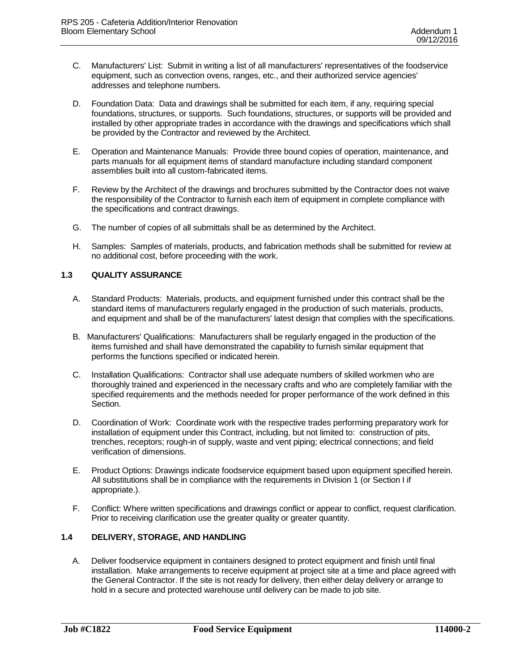- C. Manufacturers' List: Submit in writing a list of all manufacturers' representatives of the foodservice equipment, such as convection ovens, ranges, etc., and their authorized service agencies' addresses and telephone numbers.
- D. Foundation Data: Data and drawings shall be submitted for each item, if any, requiring special foundations, structures, or supports. Such foundations, structures, or supports will be provided and installed by other appropriate trades in accordance with the drawings and specifications which shall be provided by the Contractor and reviewed by the Architect.
- E. Operation and Maintenance Manuals: Provide three bound copies of operation, maintenance, and parts manuals for all equipment items of standard manufacture including standard component assemblies built into all custom-fabricated items.
- F. Review by the Architect of the drawings and brochures submitted by the Contractor does not waive the responsibility of the Contractor to furnish each item of equipment in complete compliance with the specifications and contract drawings.
- G. The number of copies of all submittals shall be as determined by the Architect.
- H. Samples: Samples of materials, products, and fabrication methods shall be submitted for review at no additional cost, before proceeding with the work.

### **1.3 QUALITY ASSURANCE**

- A. Standard Products: Materials, products, and equipment furnished under this contract shall be the standard items of manufacturers regularly engaged in the production of such materials, products, and equipment and shall be of the manufacturers' latest design that complies with the specifications.
- B. Manufacturers' Qualifications: Manufacturers shall be regularly engaged in the production of the items furnished and shall have demonstrated the capability to furnish similar equipment that performs the functions specified or indicated herein.
- C. Installation Qualifications: Contractor shall use adequate numbers of skilled workmen who are thoroughly trained and experienced in the necessary crafts and who are completely familiar with the specified requirements and the methods needed for proper performance of the work defined in this Section.
- D. Coordination of Work: Coordinate work with the respective trades performing preparatory work for installation of equipment under this Contract, including, but not limited to: construction of pits, trenches, receptors; rough-in of supply, waste and vent piping; electrical connections; and field verification of dimensions.
- E. Product Options: Drawings indicate foodservice equipment based upon equipment specified herein. All substitutions shall be in compliance with the requirements in Division 1 (or Section I if appropriate.).
- F. Conflict: Where written specifications and drawings conflict or appear to conflict, request clarification. Prior to receiving clarification use the greater quality or greater quantity.

### **1.4 DELIVERY, STORAGE, AND HANDLING**

A. Deliver foodservice equipment in containers designed to protect equipment and finish until final installation. Make arrangements to receive equipment at project site at a time and place agreed with the General Contractor. If the site is not ready for delivery, then either delay delivery or arrange to hold in a secure and protected warehouse until delivery can be made to job site.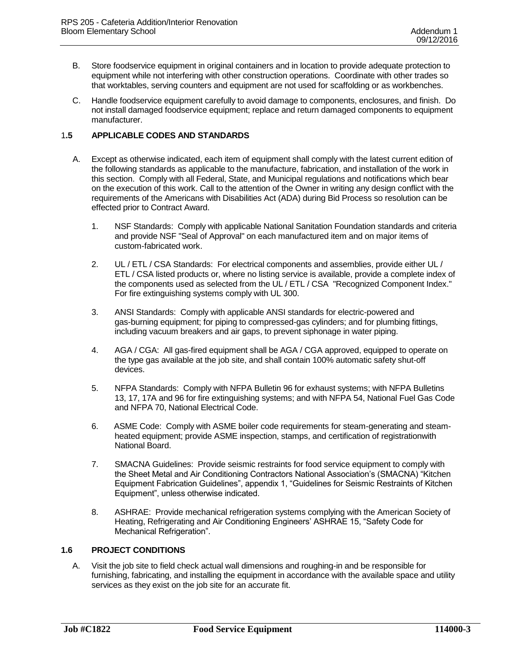- B. Store foodservice equipment in original containers and in location to provide adequate protection to equipment while not interfering with other construction operations. Coordinate with other trades so that worktables, serving counters and equipment are not used for scaffolding or as workbenches.
- C. Handle foodservice equipment carefully to avoid damage to components, enclosures, and finish. Do not install damaged foodservice equipment; replace and return damaged components to equipment manufacturer.

## 1**.5 APPLICABLE CODES AND STANDARDS**

- A. Except as otherwise indicated, each item of equipment shall comply with the latest current edition of the following standards as applicable to the manufacture, fabrication, and installation of the work in this section. Comply with all Federal, State, and Municipal regulations and notifications which bear on the execution of this work. Call to the attention of the Owner in writing any design conflict with the requirements of the Americans with Disabilities Act (ADA) during Bid Process so resolution can be effected prior to Contract Award.
	- 1. NSF Standards: Comply with applicable National Sanitation Foundation standards and criteria and provide NSF "Seal of Approval" on each manufactured item and on major items of custom-fabricated work.
	- 2. UL / ETL / CSA Standards: For electrical components and assemblies, provide either UL / ETL / CSA listed products or, where no listing service is available, provide a complete index of the components used as selected from the UL / ETL / CSA "Recognized Component Index." For fire extinguishing systems comply with UL 300.
	- 3. ANSI Standards: Comply with applicable ANSI standards for electric-powered and gas-burning equipment; for piping to compressed-gas cylinders; and for plumbing fittings, including vacuum breakers and air gaps, to prevent siphonage in water piping.
	- 4. AGA / CGA: All gas-fired equipment shall be AGA / CGA approved, equipped to operate on the type gas available at the job site, and shall contain 100% automatic safety shut-off devices.
	- 5. NFPA Standards: Comply with NFPA Bulletin 96 for exhaust systems; with NFPA Bulletins 13, 17, 17A and 96 for fire extinguishing systems; and with NFPA 54, National Fuel Gas Code and NFPA 70, National Electrical Code.
	- 6. ASME Code: Comply with ASME boiler code requirements for steam-generating and steamheated equipment; provide ASME inspection, stamps, and certification of registrationwith National Board.
	- 7. SMACNA Guidelines: Provide seismic restraints for food service equipment to comply with the Sheet Metal and Air Conditioning Contractors National Association's (SMACNA) "Kitchen Equipment Fabrication Guidelines", appendix 1, "Guidelines for Seismic Restraints of Kitchen Equipment", unless otherwise indicated.
	- 8. ASHRAE: Provide mechanical refrigeration systems complying with the American Society of Heating, Refrigerating and Air Conditioning Engineers' ASHRAE 15, "Safety Code for Mechanical Refrigeration".

## **1.6 PROJECT CONDITIONS**

A. Visit the job site to field check actual wall dimensions and roughing-in and be responsible for furnishing, fabricating, and installing the equipment in accordance with the available space and utility services as they exist on the job site for an accurate fit.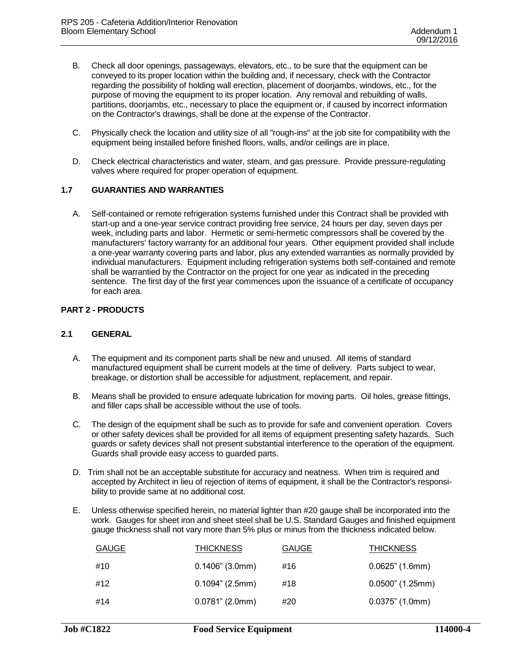- B. Check all door openings, passageways, elevators, etc., to be sure that the equipment can be conveyed to its proper location within the building and, if necessary, check with the Contractor regarding the possibility of holding wall erection, placement of doorjambs, windows, etc., for the purpose of moving the equipment to its proper location. Any removal and rebuilding of walls, partitions, doorjambs, etc., necessary to place the equipment or, if caused by incorrect information on the Contractor's drawings, shall be done at the expense of the Contractor.
- C. Physically check the location and utility size of all "rough-ins" at the job site for compatibility with the equipment being installed before finished floors, walls, and/or ceilings are in place.
- D. Check electrical characteristics and water, steam, and gas pressure. Provide pressure-regulating valves where required for proper operation of equipment.

#### **1.7 GUARANTIES AND WARRANTIES**

A. Self-contained or remote refrigeration systems furnished under this Contract shall be provided with start-up and a one-year service contract providing free service, 24 hours per day, seven days per week, including parts and labor. Hermetic or semi-hermetic compressors shall be covered by the manufacturers' factory warranty for an additional four years. Other equipment provided shall include a one-year warranty covering parts and labor, plus any extended warranties as normally provided by individual manufacturers. Equipment including refrigeration systems both self-contained and remote shall be warrantied by the Contractor on the project for one year as indicated in the preceding sentence. The first day of the first year commences upon the issuance of a certificate of occupancy for each area.

#### **PART 2 - PRODUCTS**

#### **2.1 GENERAL**

- A. The equipment and its component parts shall be new and unused. All items of standard manufactured equipment shall be current models at the time of delivery. Parts subject to wear, breakage, or distortion shall be accessible for adjustment, replacement, and repair.
- B. Means shall be provided to ensure adequate lubrication for moving parts. Oil holes, grease fittings, and filler caps shall be accessible without the use of tools.
- C. The design of the equipment shall be such as to provide for safe and convenient operation. Covers or other safety devices shall be provided for all items of equipment presenting safety hazards. Such guards or safety devices shall not present substantial interference to the operation of the equipment. Guards shall provide easy access to guarded parts.
- D. Trim shall not be an acceptable substitute for accuracy and neatness. When trim is required and accepted by Architect in lieu of rejection of items of equipment, it shall be the Contractor's responsibility to provide same at no additional cost.
- E. Unless otherwise specified herein, no material lighter than #20 gauge shall be incorporated into the work. Gauges for sheet iron and sheet steel shall be U.S. Standard Gauges and finished equipment gauge thickness shall not vary more than 5% plus or minus from the thickness indicated below.

| GAUGE | <b>THICKNESS</b>   | <b>GAUGE</b> | <b>THICKNESS</b>    |
|-------|--------------------|--------------|---------------------|
| #10   | $0.1406$ " (3.0mm) | #16          | $0.0625$ " (1.6mm)  |
| #12   | $0.1094$ " (2.5mm) | #18          | $0.0500$ " (1.25mm) |
| #14   | $0.0781$ " (2.0mm) | #20          | $0.0375$ " (1.0mm)  |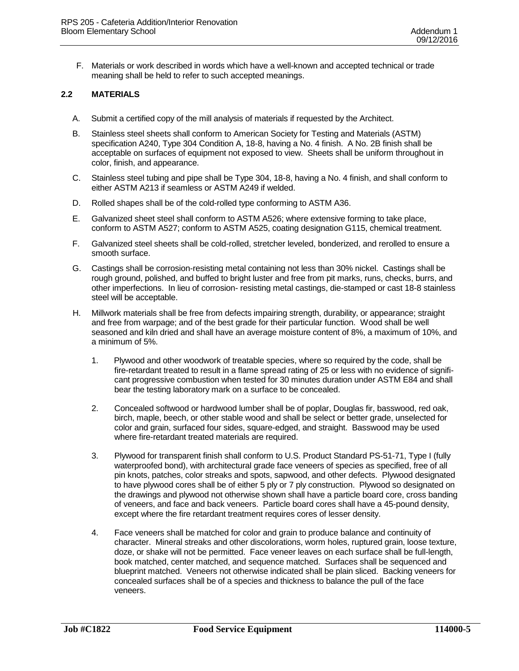F. Materials or work described in words which have a well-known and accepted technical or trade meaning shall be held to refer to such accepted meanings.

## **2.2 MATERIALS**

- A. Submit a certified copy of the mill analysis of materials if requested by the Architect.
- B. Stainless steel sheets shall conform to American Society for Testing and Materials (ASTM) specification A240, Type 304 Condition A, 18-8, having a No. 4 finish. A No. 2B finish shall be acceptable on surfaces of equipment not exposed to view. Sheets shall be uniform throughout in color, finish, and appearance.
- C. Stainless steel tubing and pipe shall be Type 304, 18-8, having a No. 4 finish, and shall conform to either ASTM A213 if seamless or ASTM A249 if welded.
- D. Rolled shapes shall be of the cold-rolled type conforming to ASTM A36.
- E. Galvanized sheet steel shall conform to ASTM A526; where extensive forming to take place, conform to ASTM A527; conform to ASTM A525, coating designation G115, chemical treatment.
- F. Galvanized steel sheets shall be cold-rolled, stretcher leveled, bonderized, and rerolled to ensure a smooth surface.
- G. Castings shall be corrosion-resisting metal containing not less than 30% nickel. Castings shall be rough ground, polished, and buffed to bright luster and free from pit marks, runs, checks, burrs, and other imperfections. In lieu of corrosion- resisting metal castings, die-stamped or cast 18-8 stainless steel will be acceptable.
- H. Millwork materials shall be free from defects impairing strength, durability, or appearance; straight and free from warpage; and of the best grade for their particular function. Wood shall be well seasoned and kiln dried and shall have an average moisture content of 8%, a maximum of 10%, and a minimum of 5%.
	- 1. Plywood and other woodwork of treatable species, where so required by the code, shall be fire-retardant treated to result in a flame spread rating of 25 or less with no evidence of significant progressive combustion when tested for 30 minutes duration under ASTM E84 and shall bear the testing laboratory mark on a surface to be concealed.
	- 2. Concealed softwood or hardwood lumber shall be of poplar, Douglas fir, basswood, red oak, birch, maple, beech, or other stable wood and shall be select or better grade, unselected for color and grain, surfaced four sides, square-edged, and straight. Basswood may be used where fire-retardant treated materials are required.
	- 3. Plywood for transparent finish shall conform to U.S. Product Standard PS-51-71, Type I (fully waterproofed bond), with architectural grade face veneers of species as specified, free of all pin knots, patches, color streaks and spots, sapwood, and other defects. Plywood designated to have plywood cores shall be of either 5 ply or 7 ply construction. Plywood so designated on the drawings and plywood not otherwise shown shall have a particle board core, cross banding of veneers, and face and back veneers. Particle board cores shall have a 45-pound density, except where the fire retardant treatment requires cores of lesser density.
	- 4. Face veneers shall be matched for color and grain to produce balance and continuity of character. Mineral streaks and other discolorations, worm holes, ruptured grain, loose texture, doze, or shake will not be permitted. Face veneer leaves on each surface shall be full-length, book matched, center matched, and sequence matched. Surfaces shall be sequenced and blueprint matched. Veneers not otherwise indicated shall be plain sliced. Backing veneers for concealed surfaces shall be of a species and thickness to balance the pull of the face veneers.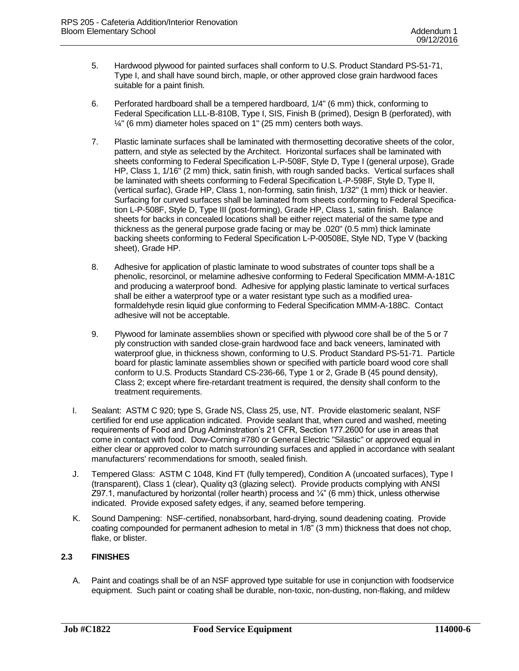- 5. Hardwood plywood for painted surfaces shall conform to U.S. Product Standard PS-51-71, Type I, and shall have sound birch, maple, or other approved close grain hardwood faces suitable for a paint finish.
- 6. Perforated hardboard shall be a tempered hardboard, 1/4" (6 mm) thick, conforming to Federal Specification LLL-B-810B, Type I, SIS, Finish B (primed), Design B (perforated), with  $\frac{1}{4}$ " (6 mm) diameter holes spaced on 1" (25 mm) centers both ways.
- 7. Plastic laminate surfaces shall be laminated with thermosetting decorative sheets of the color, pattern, and style as selected by the Architect. Horizontal surfaces shall be laminated with sheets conforming to Federal Specification L-P-508F, Style D, Type I (general urpose), Grade HP, Class 1, 1/16" (2 mm) thick, satin finish, with rough sanded backs. Vertical surfaces shall be laminated with sheets conforming to Federal Specification L-P-598F, Style D, Type II, (vertical surfac), Grade HP, Class 1, non-forming, satin finish, 1/32" (1 mm) thick or heavier. Surfacing for curved surfaces shall be laminated from sheets conforming to Federal Specification L-P-508F, Style D, Type III (post-forming), Grade HP, Class 1, satin finish. Balance sheets for backs in concealed locations shall be either reject material of the same type and thickness as the general purpose grade facing or may be .020" (0.5 mm) thick laminate backing sheets conforming to Federal Specification L-P-00508E, Style ND, Type V (backing sheet), Grade HP.
- 8. Adhesive for application of plastic laminate to wood substrates of counter tops shall be a phenolic, resorcinol, or melamine adhesive conforming to Federal Specification MMM-A-181C and producing a waterproof bond. Adhesive for applying plastic laminate to vertical surfaces shall be either a waterproof type or a water resistant type such as a modified ureaformaldehyde resin liquid glue conforming to Federal Specification MMM-A-188C. Contact adhesive will not be acceptable.
- 9. Plywood for laminate assemblies shown or specified with plywood core shall be of the 5 or 7 ply construction with sanded close-grain hardwood face and back veneers, laminated with waterproof glue, in thickness shown, conforming to U.S. Product Standard PS-51-71. Particle board for plastic laminate assemblies shown or specified with particle board wood core shall conform to U.S. Products Standard CS-236-66, Type 1 or 2, Grade B (45 pound density), Class 2; except where fire-retardant treatment is required, the density shall conform to the treatment requirements.
- I. Sealant: ASTM C 920; type S, Grade NS, Class 25, use, NT. Provide elastomeric sealant, NSF certified for end use application indicated. Provide sealant that, when cured and washed, meeting requirements of Food and Drug Adminstration's 21 CFR, Section 177.2600 for use in areas that come in contact with food. Dow-Corning #780 or General Electric "Silastic" or approved equal in either clear or approved color to match surrounding surfaces and applied in accordance with sealant manufacturers' recommendations for smooth, sealed finish.
- J. Tempered Glass: ASTM C 1048, Kind FT (fully tempered), Condition A (uncoated surfaces), Type I (transparent), Class 1 (clear), Quality q3 (glazing select). Provide products complying with ANSI Z97.1, manufactured by horizontal (roller hearth) process and ¼" (6 mm) thick, unless otherwise indicated. Provide exposed safety edges, if any, seamed before tempering.
- K. Sound Dampening: NSF-certified, nonabsorbant, hard-drying, sound deadening coating. Provide coating compounded for permanent adhesion to metal in 1/8" (3 mm) thickness that does not chop, flake, or blister.

### **2.3 FINISHES**

A. Paint and coatings shall be of an NSF approved type suitable for use in conjunction with foodservice equipment. Such paint or coating shall be durable, non-toxic, non-dusting, non-flaking, and mildew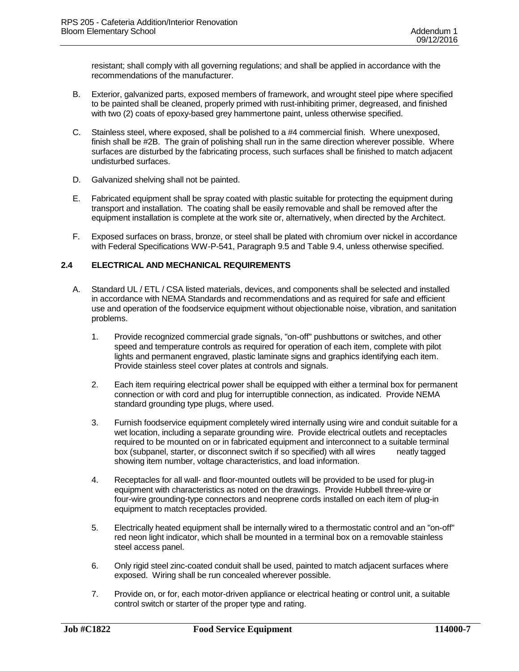resistant; shall comply with all governing regulations; and shall be applied in accordance with the recommendations of the manufacturer.

- B. Exterior, galvanized parts, exposed members of framework, and wrought steel pipe where specified to be painted shall be cleaned, properly primed with rust-inhibiting primer, degreased, and finished with two (2) coats of epoxy-based grey hammertone paint, unless otherwise specified.
- C. Stainless steel, where exposed, shall be polished to a #4 commercial finish. Where unexposed, finish shall be #2B. The grain of polishing shall run in the same direction wherever possible. Where surfaces are disturbed by the fabricating process, such surfaces shall be finished to match adjacent undisturbed surfaces.
- D. Galvanized shelving shall not be painted.
- E. Fabricated equipment shall be spray coated with plastic suitable for protecting the equipment during transport and installation. The coating shall be easily removable and shall be removed after the equipment installation is complete at the work site or, alternatively, when directed by the Architect.
- F. Exposed surfaces on brass, bronze, or steel shall be plated with chromium over nickel in accordance with Federal Specifications WW-P-541, Paragraph 9.5 and Table 9.4, unless otherwise specified.

## **2.4 ELECTRICAL AND MECHANICAL REQUIREMENTS**

- A. Standard UL / ETL / CSA listed materials, devices, and components shall be selected and installed in accordance with NEMA Standards and recommendations and as required for safe and efficient use and operation of the foodservice equipment without objectionable noise, vibration, and sanitation problems.
	- 1. Provide recognized commercial grade signals, "on-off" pushbuttons or switches, and other speed and temperature controls as required for operation of each item, complete with pilot lights and permanent engraved, plastic laminate signs and graphics identifying each item. Provide stainless steel cover plates at controls and signals.
	- 2. Each item requiring electrical power shall be equipped with either a terminal box for permanent connection or with cord and plug for interruptible connection, as indicated. Provide NEMA standard grounding type plugs, where used.
	- 3. Furnish foodservice equipment completely wired internally using wire and conduit suitable for a wet location, including a separate grounding wire. Provide electrical outlets and receptacles required to be mounted on or in fabricated equipment and interconnect to a suitable terminal box (subpanel, starter, or disconnect switch if so specified) with all wires neatly tagged showing item number, voltage characteristics, and load information.
	- 4. Receptacles for all wall- and floor-mounted outlets will be provided to be used for plug-in equipment with characteristics as noted on the drawings. Provide Hubbell three-wire or four-wire grounding-type connectors and neoprene cords installed on each item of plug-in equipment to match receptacles provided.
	- 5. Electrically heated equipment shall be internally wired to a thermostatic control and an "on-off" red neon light indicator, which shall be mounted in a terminal box on a removable stainless steel access panel.
	- 6. Only rigid steel zinc-coated conduit shall be used, painted to match adjacent surfaces where exposed. Wiring shall be run concealed wherever possible.
	- 7. Provide on, or for, each motor-driven appliance or electrical heating or control unit, a suitable control switch or starter of the proper type and rating.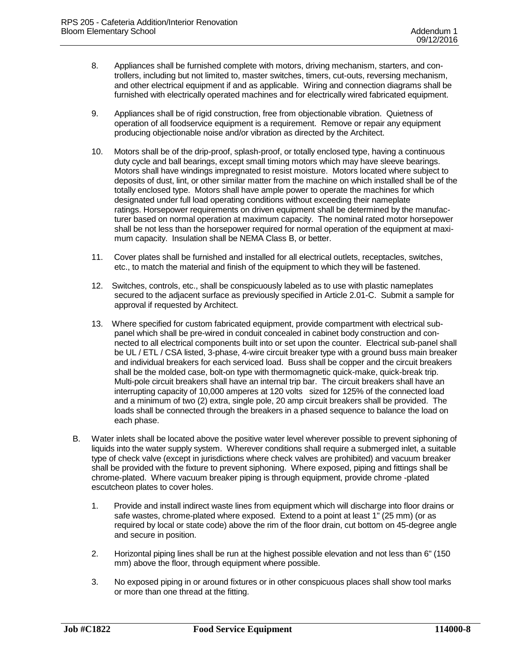- 8. Appliances shall be furnished complete with motors, driving mechanism, starters, and controllers, including but not limited to, master switches, timers, cut-outs, reversing mechanism, and other electrical equipment if and as applicable. Wiring and connection diagrams shall be furnished with electrically operated machines and for electrically wired fabricated equipment.
- 9. Appliances shall be of rigid construction, free from objectionable vibration. Quietness of operation of all foodservice equipment is a requirement. Remove or repair any equipment producing objectionable noise and/or vibration as directed by the Architect.
- 10. Motors shall be of the drip-proof, splash-proof, or totally enclosed type, having a continuous duty cycle and ball bearings, except small timing motors which may have sleeve bearings. Motors shall have windings impregnated to resist moisture. Motors located where subject to deposits of dust, lint, or other similar matter from the machine on which installed shall be of the totally enclosed type. Motors shall have ample power to operate the machines for which designated under full load operating conditions without exceeding their nameplate ratings. Horsepower requirements on driven equipment shall be determined by the manufacturer based on normal operation at maximum capacity. The nominal rated motor horsepower shall be not less than the horsepower required for normal operation of the equipment at maximum capacity. Insulation shall be NEMA Class B, or better.
- 11. Cover plates shall be furnished and installed for all electrical outlets, receptacles, switches, etc., to match the material and finish of the equipment to which they will be fastened.
- 12. Switches, controls, etc., shall be conspicuously labeled as to use with plastic nameplates secured to the adjacent surface as previously specified in Article 2.01-C. Submit a sample for approval if requested by Architect.
- 13. Where specified for custom fabricated equipment, provide compartment with electrical subpanel which shall be pre-wired in conduit concealed in cabinet body construction and connected to all electrical components built into or set upon the counter. Electrical sub-panel shall be UL / ETL / CSA listed, 3-phase, 4-wire circuit breaker type with a ground buss main breaker and individual breakers for each serviced load. Buss shall be copper and the circuit breakers shall be the molded case, bolt-on type with thermomagnetic quick-make, quick-break trip. Multi-pole circuit breakers shall have an internal trip bar. The circuit breakers shall have an interrupting capacity of 10,000 amperes at 120 volts sized for 125% of the connected load and a minimum of two (2) extra, single pole, 20 amp circuit breakers shall be provided. The loads shall be connected through the breakers in a phased sequence to balance the load on each phase.
- B. Water inlets shall be located above the positive water level wherever possible to prevent siphoning of liquids into the water supply system. Wherever conditions shall require a submerged inlet, a suitable type of check valve (except in jurisdictions where check valves are prohibited) and vacuum breaker shall be provided with the fixture to prevent siphoning. Where exposed, piping and fittings shall be chrome-plated. Where vacuum breaker piping is through equipment, provide chrome -plated escutcheon plates to cover holes.
	- 1. Provide and install indirect waste lines from equipment which will discharge into floor drains or safe wastes, chrome-plated where exposed. Extend to a point at least 1" (25 mm) (or as required by local or state code) above the rim of the floor drain, cut bottom on 45-degree angle and secure in position.
	- 2. Horizontal piping lines shall be run at the highest possible elevation and not less than 6" (150 mm) above the floor, through equipment where possible.
	- 3. No exposed piping in or around fixtures or in other conspicuous places shall show tool marks or more than one thread at the fitting.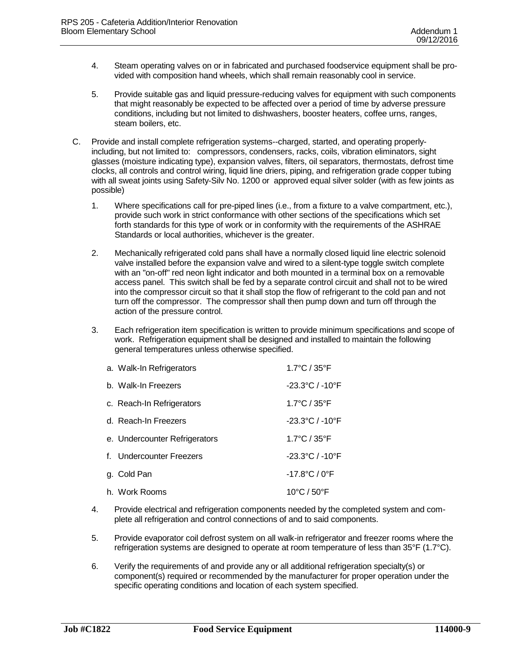- 4. Steam operating valves on or in fabricated and purchased foodservice equipment shall be provided with composition hand wheels, which shall remain reasonably cool in service.
- 5. Provide suitable gas and liquid pressure-reducing valves for equipment with such components that might reasonably be expected to be affected over a period of time by adverse pressure conditions, including but not limited to dishwashers, booster heaters, coffee urns, ranges, steam boilers, etc.
- C. Provide and install complete refrigeration systems--charged, started, and operating properlyincluding, but not limited to: compressors, condensers, racks, coils, vibration eliminators, sight glasses (moisture indicating type), expansion valves, filters, oil separators, thermostats, defrost time clocks, all controls and control wiring, liquid line driers, piping, and refrigeration grade copper tubing with all sweat joints using Safety-Silv No. 1200 or approved equal silver solder (with as few joints as possible)
	- 1. Where specifications call for pre-piped lines (i.e., from a fixture to a valve compartment, etc.), provide such work in strict conformance with other sections of the specifications which set forth standards for this type of work or in conformity with the requirements of the ASHRAE Standards or local authorities, whichever is the greater.
	- 2. Mechanically refrigerated cold pans shall have a normally closed liquid line electric solenoid valve installed before the expansion valve and wired to a silent-type toggle switch complete with an "on-off" red neon light indicator and both mounted in a terminal box on a removable access panel. This switch shall be fed by a separate control circuit and shall not to be wired into the compressor circuit so that it shall stop the flow of refrigerant to the cold pan and not turn off the compressor. The compressor shall then pump down and turn off through the action of the pressure control.
	- 3. Each refrigeration item specification is written to provide minimum specifications and scope of work. Refrigeration equipment shall be designed and installed to maintain the following general temperatures unless otherwise specified.

| a. Walk-In Refrigerators      | $1.7^{\circ}$ C / 35 $^{\circ}$ F   |
|-------------------------------|-------------------------------------|
| b. Walk-In Freezers           | $-23.3^{\circ}$ C / $-10^{\circ}$ F |
| c. Reach-In Refrigerators     | $1.7^{\circ}$ C / 35 $^{\circ}$ F   |
| d. Reach-In Freezers          | $-23.3^{\circ}$ C / $-10^{\circ}$ F |
| e. Undercounter Refrigerators | 1.7°C / 35°F                        |
| f. Undercounter Freezers      | $-23.3$ °C / $-10$ °F               |
| g. Cold Pan                   | $-17.8$ °C / 0°F                    |
| h. Work Rooms                 | $10^{\circ}$ C / 50 $^{\circ}$ F    |

- 4. Provide electrical and refrigeration components needed by the completed system and complete all refrigeration and control connections of and to said components.
- 5. Provide evaporator coil defrost system on all walk-in refrigerator and freezer rooms where the refrigeration systems are designed to operate at room temperature of less than 35°F (1.7°C).
- 6. Verify the requirements of and provide any or all additional refrigeration specialty(s) or component(s) required or recommended by the manufacturer for proper operation under the specific operating conditions and location of each system specified.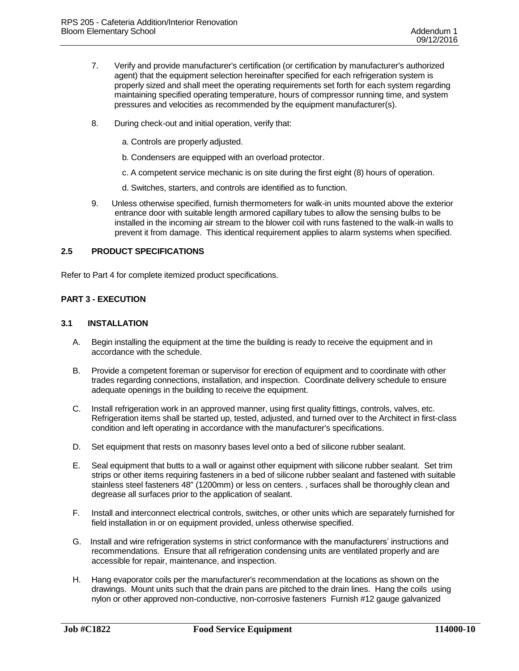- 7. Verify and provide manufacturer's certification (or certification by manufacturer's authorized agent) that the equipment selection hereinafter specified for each refrigeration system is properly sized and shall meet the operating requirements set forth for each system regarding maintaining specified operating temperature, hours of compressor running time, and system pressures and velocities as recommended by the equipment manufacturer(s).
- 8. During check-out and initial operation, verify that:
	- a. Controls are properly adjusted.
	- b. Condensers are equipped with an overload protector.
	- c. A competent service mechanic is on site during the first eight (8) hours of operation.
	- d. Switches, starters, and controls are identified as to function.
- 9. Unless otherwise specified, furnish thermometers for walk-in units mounted above the exterior entrance door with suitable length armored capillary tubes to allow the sensing bulbs to be installed in the incoming air stream to the blower coil with runs fastened to the walk-in walls to prevent it from damage. This identical requirement applies to alarm systems when specified.

### **2.5 PRODUCT SPECIFICATIONS**

Refer to Part 4 for complete itemized product specifications.

### **PART 3 - EXECUTION**

#### **3.1 INSTALLATION**

- A. Begin installing the equipment at the time the building is ready to receive the equipment and in accordance with the schedule.
- B. Provide a competent foreman or supervisor for erection of equipment and to coordinate with other trades regarding connections, installation, and inspection. Coordinate delivery schedule to ensure adequate openings in the building to receive the equipment.
- C. Install refrigeration work in an approved manner, using first quality fittings, controls, valves, etc. Refrigeration items shall be started up, tested, adjusted, and turned over to the Architect in first-class condition and left operating in accordance with the manufacturer's specifications.
- D. Set equipment that rests on masonry bases level onto a bed of silicone rubber sealant.
- E. Seal equipment that butts to a wall or against other equipment with silicone rubber sealant. Set trim strips or other items requiring fasteners in a bed of silicone rubber sealant and fastened with suitable stainless steel fasteners 48" (1200mm) or less on centers. , surfaces shall be thoroughly clean and degrease all surfaces prior to the application of sealant.
- F. Install and interconnect electrical controls, switches, or other units which are separately furnished for field installation in or on equipment provided, unless otherwise specified.
- G. Install and wire refrigeration systems in strict conformance with the manufacturers' instructions and recommendations. Ensure that all refrigeration condensing units are ventilated properly and are accessible for repair, maintenance, and inspection.
- H. Hang evaporator coils per the manufacturer's recommendation at the locations as shown on the drawings. Mount units such that the drain pans are pitched to the drain lines. Hang the coils using nylon or other approved non-conductive, non-corrosive fasteners Furnish #12 gauge galvanized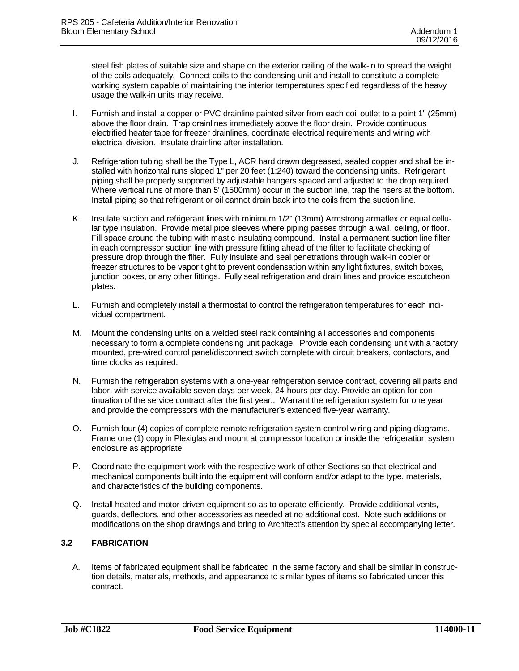steel fish plates of suitable size and shape on the exterior ceiling of the walk-in to spread the weight of the coils adequately. Connect coils to the condensing unit and install to constitute a complete working system capable of maintaining the interior temperatures specified regardless of the heavy usage the walk-in units may receive.

- I. Furnish and install a copper or PVC drainline painted silver from each coil outlet to a point 1" (25mm) above the floor drain. Trap drainlines immediately above the floor drain. Provide continuous electrified heater tape for freezer drainlines, coordinate electrical requirements and wiring with electrical division. Insulate drainline after installation.
- J. Refrigeration tubing shall be the Type L, ACR hard drawn degreased, sealed copper and shall be installed with horizontal runs sloped 1" per 20 feet (1:240) toward the condensing units. Refrigerant piping shall be properly supported by adjustable hangers spaced and adjusted to the drop required. Where vertical runs of more than 5' (1500mm) occur in the suction line, trap the risers at the bottom. Install piping so that refrigerant or oil cannot drain back into the coils from the suction line.
- K. Insulate suction and refrigerant lines with minimum 1/2" (13mm) Armstrong armaflex or equal cellular type insulation. Provide metal pipe sleeves where piping passes through a wall, ceiling, or floor. Fill space around the tubing with mastic insulating compound. Install a permanent suction line filter in each compressor suction line with pressure fitting ahead of the filter to facilitate checking of pressure drop through the filter. Fully insulate and seal penetrations through walk-in cooler or freezer structures to be vapor tight to prevent condensation within any light fixtures, switch boxes, junction boxes, or any other fittings. Fully seal refrigeration and drain lines and provide escutcheon plates.
- L. Furnish and completely install a thermostat to control the refrigeration temperatures for each individual compartment.
- M. Mount the condensing units on a welded steel rack containing all accessories and components necessary to form a complete condensing unit package. Provide each condensing unit with a factory mounted, pre-wired control panel/disconnect switch complete with circuit breakers, contactors, and time clocks as required.
- N. Furnish the refrigeration systems with a one-year refrigeration service contract, covering all parts and labor, with service available seven days per week, 24-hours per day. Provide an option for continuation of the service contract after the first year.. Warrant the refrigeration system for one year and provide the compressors with the manufacturer's extended five-year warranty.
- O. Furnish four (4) copies of complete remote refrigeration system control wiring and piping diagrams. Frame one (1) copy in Plexiglas and mount at compressor location or inside the refrigeration system enclosure as appropriate.
- P. Coordinate the equipment work with the respective work of other Sections so that electrical and mechanical components built into the equipment will conform and/or adapt to the type, materials, and characteristics of the building components.
- Q. Install heated and motor-driven equipment so as to operate efficiently. Provide additional vents, guards, deflectors, and other accessories as needed at no additional cost. Note such additions or modifications on the shop drawings and bring to Architect's attention by special accompanying letter.

## **3.2 FABRICATION**

A. Items of fabricated equipment shall be fabricated in the same factory and shall be similar in construction details, materials, methods, and appearance to similar types of items so fabricated under this contract.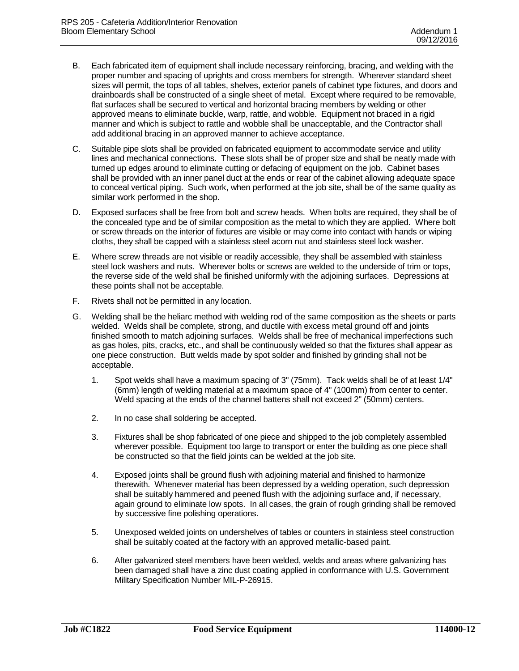- B. Each fabricated item of equipment shall include necessary reinforcing, bracing, and welding with the proper number and spacing of uprights and cross members for strength. Wherever standard sheet sizes will permit, the tops of all tables, shelves, exterior panels of cabinet type fixtures, and doors and drainboards shall be constructed of a single sheet of metal. Except where required to be removable, flat surfaces shall be secured to vertical and horizontal bracing members by welding or other approved means to eliminate buckle, warp, rattle, and wobble. Equipment not braced in a rigid manner and which is subject to rattle and wobble shall be unacceptable, and the Contractor shall add additional bracing in an approved manner to achieve acceptance.
- C. Suitable pipe slots shall be provided on fabricated equipment to accommodate service and utility lines and mechanical connections. These slots shall be of proper size and shall be neatly made with turned up edges around to eliminate cutting or defacing of equipment on the job. Cabinet bases shall be provided with an inner panel duct at the ends or rear of the cabinet allowing adequate space to conceal vertical piping. Such work, when performed at the job site, shall be of the same quality as similar work performed in the shop.
- D. Exposed surfaces shall be free from bolt and screw heads. When bolts are required, they shall be of the concealed type and be of similar composition as the metal to which they are applied. Where bolt or screw threads on the interior of fixtures are visible or may come into contact with hands or wiping cloths, they shall be capped with a stainless steel acorn nut and stainless steel lock washer.
- E. Where screw threads are not visible or readily accessible, they shall be assembled with stainless steel lock washers and nuts. Wherever bolts or screws are welded to the underside of trim or tops, the reverse side of the weld shall be finished uniformly with the adjoining surfaces. Depressions at these points shall not be acceptable.
- F. Rivets shall not be permitted in any location.
- G. Welding shall be the heliarc method with welding rod of the same composition as the sheets or parts welded. Welds shall be complete, strong, and ductile with excess metal ground off and joints finished smooth to match adjoining surfaces. Welds shall be free of mechanical imperfections such as gas holes, pits, cracks, etc., and shall be continuously welded so that the fixtures shall appear as one piece construction. Butt welds made by spot solder and finished by grinding shall not be acceptable.
	- 1. Spot welds shall have a maximum spacing of 3" (75mm). Tack welds shall be of at least 1/4" (6mm) length of welding material at a maximum space of 4" (100mm) from center to center. Weld spacing at the ends of the channel battens shall not exceed 2" (50mm) centers.
	- 2. In no case shall soldering be accepted.
	- 3. Fixtures shall be shop fabricated of one piece and shipped to the job completely assembled wherever possible. Equipment too large to transport or enter the building as one piece shall be constructed so that the field joints can be welded at the job site.
	- 4. Exposed joints shall be ground flush with adjoining material and finished to harmonize therewith. Whenever material has been depressed by a welding operation, such depression shall be suitably hammered and peened flush with the adjoining surface and, if necessary, again ground to eliminate low spots. In all cases, the grain of rough grinding shall be removed by successive fine polishing operations.
	- 5. Unexposed welded joints on undershelves of tables or counters in stainless steel construction shall be suitably coated at the factory with an approved metallic-based paint.
	- 6. After galvanized steel members have been welded, welds and areas where galvanizing has been damaged shall have a zinc dust coating applied in conformance with U.S. Government Military Specification Number MIL-P-26915.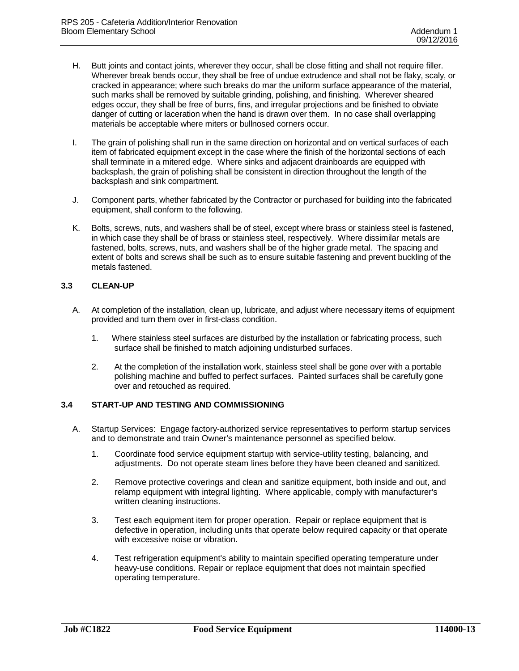- H. Butt joints and contact joints, wherever they occur, shall be close fitting and shall not require filler. Wherever break bends occur, they shall be free of undue extrudence and shall not be flaky, scaly, or cracked in appearance; where such breaks do mar the uniform surface appearance of the material, such marks shall be removed by suitable grinding, polishing, and finishing. Wherever sheared edges occur, they shall be free of burrs, fins, and irregular projections and be finished to obviate danger of cutting or laceration when the hand is drawn over them. In no case shall overlapping materials be acceptable where miters or bullnosed corners occur.
- I. The grain of polishing shall run in the same direction on horizontal and on vertical surfaces of each item of fabricated equipment except in the case where the finish of the horizontal sections of each shall terminate in a mitered edge. Where sinks and adjacent drainboards are equipped with backsplash, the grain of polishing shall be consistent in direction throughout the length of the backsplash and sink compartment.
- J. Component parts, whether fabricated by the Contractor or purchased for building into the fabricated equipment, shall conform to the following.
- K. Bolts, screws, nuts, and washers shall be of steel, except where brass or stainless steel is fastened, in which case they shall be of brass or stainless steel, respectively. Where dissimilar metals are fastened, bolts, screws, nuts, and washers shall be of the higher grade metal. The spacing and extent of bolts and screws shall be such as to ensure suitable fastening and prevent buckling of the metals fastened.

### **3.3 CLEAN-UP**

- A. At completion of the installation, clean up, lubricate, and adjust where necessary items of equipment provided and turn them over in first-class condition.
	- 1. Where stainless steel surfaces are disturbed by the installation or fabricating process, such surface shall be finished to match adjoining undisturbed surfaces.
	- 2. At the completion of the installation work, stainless steel shall be gone over with a portable polishing machine and buffed to perfect surfaces. Painted surfaces shall be carefully gone over and retouched as required.

### **3.4 START-UP AND TESTING AND COMMISSIONING**

- A. Startup Services: Engage factory-authorized service representatives to perform startup services and to demonstrate and train Owner's maintenance personnel as specified below.
	- 1. Coordinate food service equipment startup with service-utility testing, balancing, and adjustments. Do not operate steam lines before they have been cleaned and sanitized.
	- 2. Remove protective coverings and clean and sanitize equipment, both inside and out, and relamp equipment with integral lighting. Where applicable, comply with manufacturer's written cleaning instructions.
	- 3. Test each equipment item for proper operation. Repair or replace equipment that is defective in operation, including units that operate below required capacity or that operate with excessive noise or vibration.
	- 4. Test refrigeration equipment's ability to maintain specified operating temperature under heavy-use conditions. Repair or replace equipment that does not maintain specified operating temperature.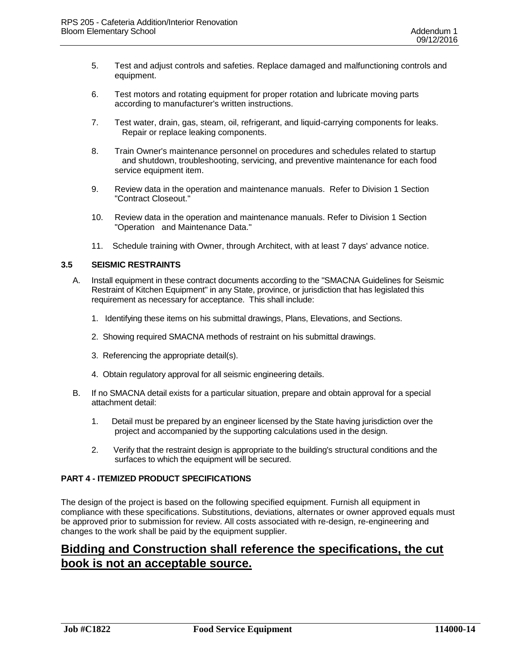- 5. Test and adjust controls and safeties. Replace damaged and malfunctioning controls and equipment.
- 6. Test motors and rotating equipment for proper rotation and lubricate moving parts according to manufacturer's written instructions.
- 7. Test water, drain, gas, steam, oil, refrigerant, and liquid-carrying components for leaks. Repair or replace leaking components.
- 8. Train Owner's maintenance personnel on procedures and schedules related to startup and shutdown, troubleshooting, servicing, and preventive maintenance for each food service equipment item.
- 9. Review data in the operation and maintenance manuals. Refer to Division 1 Section "Contract Closeout."
- 10. Review data in the operation and maintenance manuals. Refer to Division 1 Section "Operation and Maintenance Data."
- 11. Schedule training with Owner, through Architect, with at least 7 days' advance notice.

#### **3.5 SEISMIC RESTRAINTS**

- A. Install equipment in these contract documents according to the "SMACNA Guidelines for Seismic Restraint of Kitchen Equipment" in any State, province, or jurisdiction that has legislated this requirement as necessary for acceptance. This shall include:
	- 1. Identifying these items on his submittal drawings, Plans, Elevations, and Sections.
	- 2. Showing required SMACNA methods of restraint on his submittal drawings.
	- 3. Referencing the appropriate detail(s).
	- 4. Obtain regulatory approval for all seismic engineering details.
- B. If no SMACNA detail exists for a particular situation, prepare and obtain approval for a special attachment detail:
	- 1. Detail must be prepared by an engineer licensed by the State having jurisdiction over the project and accompanied by the supporting calculations used in the design.
	- 2. Verify that the restraint design is appropriate to the building's structural conditions and the surfaces to which the equipment will be secured.

### **PART 4 - ITEMIZED PRODUCT SPECIFICATIONS**

The design of the project is based on the following specified equipment. Furnish all equipment in compliance with these specifications. Substitutions, deviations, alternates or owner approved equals must be approved prior to submission for review. All costs associated with re-design, re-engineering and changes to the work shall be paid by the equipment supplier.

# **Bidding and Construction shall reference the specifications, the cut book is not an acceptable source.**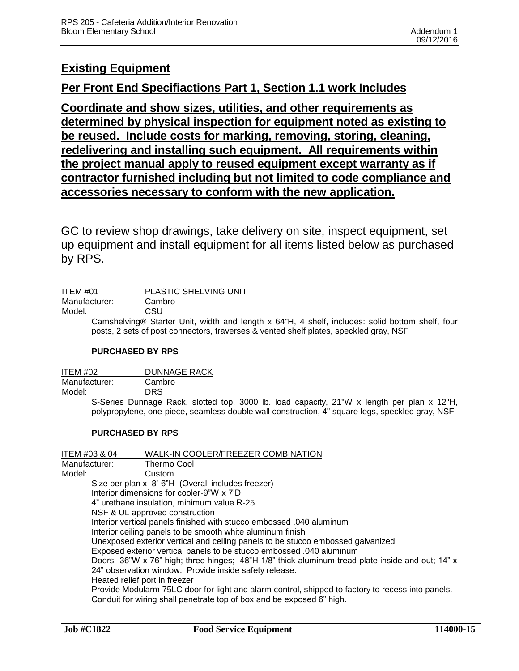# **Existing Equipment**

# **Per Front End Specifiactions Part 1, Section 1.1 work Includes**

**Coordinate and show sizes, utilities, and other requirements as determined by physical inspection for equipment noted as existing to be reused. Include costs for marking, removing, storing, cleaning, redelivering and installing such equipment. All requirements within the project manual apply to reused equipment except warranty as if contractor furnished including but not limited to code compliance and accessories necessary to conform with the new application.**

GC to review shop drawings, take delivery on site, inspect equipment, set up equipment and install equipment for all items listed below as purchased by RPS.

| ITEM #01      | PLASTIC SHELVING UNIT |  |
|---------------|-----------------------|--|
| Manufacturer: | Cambro                |  |
| Model:        | CSU                   |  |

Camshelving® Starter Unit, width and length x 64"H, 4 shelf, includes: solid bottom shelf, four posts, 2 sets of post connectors, traverses & vented shelf plates, speckled gray, NSF

# **PURCHASED BY RPS**

ITEM #02 DUNNAGE RACK

Manufacturer: Cambro

Model: DRS

S-Series Dunnage Rack, slotted top, 3000 lb. load capacity, 21"W x length per plan x 12"H, polypropylene, one-piece, seamless double wall construction, 4" square legs, speckled gray, NSF

# **PURCHASED BY RPS**

| ITEM #03 & 04 |                               | WALK-IN COOLER/FREEZER COMBINATION                                                                |
|---------------|-------------------------------|---------------------------------------------------------------------------------------------------|
| Manufacturer: |                               | Thermo Cool                                                                                       |
| Model:        |                               | Custom                                                                                            |
|               |                               | Size per plan x 8'-6"H (Overall includes freezer)                                                 |
|               |                               | Interior dimensions for cooler-9"W x 7'D                                                          |
|               |                               | 4" urethane insulation, minimum value R-25.                                                       |
|               |                               | NSF & UL approved construction                                                                    |
|               |                               | Interior vertical panels finished with stucco embossed .040 aluminum                              |
|               |                               | Interior ceiling panels to be smooth white aluminum finish                                        |
|               |                               | Unexposed exterior vertical and ceiling panels to be stucco embossed galvanized                   |
|               |                               | Exposed exterior vertical panels to be stucco embossed .040 aluminum                              |
|               |                               | Doors- 36"W x 76" high; three hinges; 48"H 1/8" thick aluminum tread plate inside and out; 14" x  |
|               |                               | 24" observation window. Provide inside safety release.                                            |
|               | Heated relief port in freezer |                                                                                                   |
|               |                               | Provide Modularm 75LC door for light and alarm control, shipped to factory to recess into panels. |
|               |                               | Conduit for wiring shall penetrate top of box and be exposed 6" high.                             |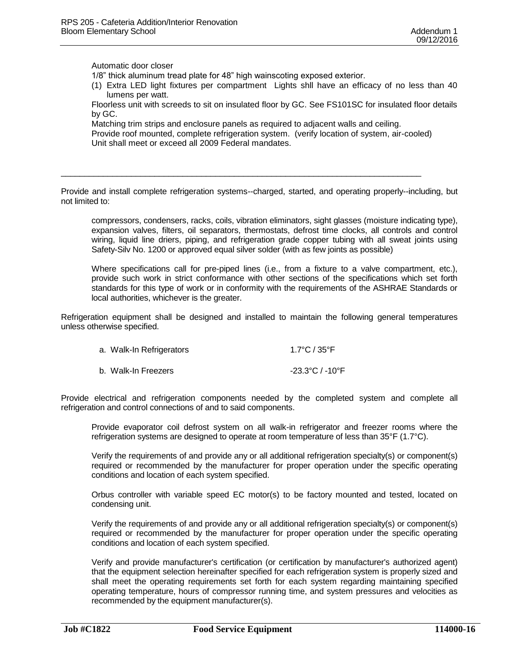Automatic door closer

1/8" thick aluminum tread plate for 48" high wainscoting exposed exterior.

(1) Extra LED light fixtures per compartment Lights shll have an efficacy of no less than 40 lumens per watt.

Floorless unit with screeds to sit on insulated floor by GC. See FS101SC for insulated floor details by GC.

Matching trim strips and enclosure panels as required to adjacent walls and ceiling.

\_\_\_\_\_\_\_\_\_\_\_\_\_\_\_\_\_\_\_\_\_\_\_\_\_\_\_\_\_\_\_\_\_\_\_\_\_\_\_\_\_\_\_\_\_\_\_\_\_\_\_\_\_\_\_\_\_\_\_\_\_\_\_\_\_\_\_\_\_\_\_\_\_\_\_\_\_

Provide roof mounted, complete refrigeration system. (verify location of system, air-cooled) Unit shall meet or exceed all 2009 Federal mandates.

Provide and install complete refrigeration systems--charged, started, and operating properly--including, but not limited to:

compressors, condensers, racks, coils, vibration eliminators, sight glasses (moisture indicating type), expansion valves, filters, oil separators, thermostats, defrost time clocks, all controls and control wiring, liquid line driers, piping, and refrigeration grade copper tubing with all sweat joints using Safety-Silv No. 1200 or approved equal silver solder (with as few joints as possible)

Where specifications call for pre-piped lines (i.e., from a fixture to a valve compartment, etc.), provide such work in strict conformance with other sections of the specifications which set forth standards for this type of work or in conformity with the requirements of the ASHRAE Standards or local authorities, whichever is the greater.

Refrigeration equipment shall be designed and installed to maintain the following general temperatures unless otherwise specified.

| a. Walk-In Refrigerators | 1.7°C / 35°F    |
|--------------------------|-----------------|
| b. Walk-In Freezers      | -23.3°C / -10°F |

Provide electrical and refrigeration components needed by the completed system and complete all refrigeration and control connections of and to said components.

Provide evaporator coil defrost system on all walk-in refrigerator and freezer rooms where the refrigeration systems are designed to operate at room temperature of less than 35°F (1.7°C).

Verify the requirements of and provide any or all additional refrigeration specialty(s) or component(s) required or recommended by the manufacturer for proper operation under the specific operating conditions and location of each system specified.

Orbus controller with variable speed EC motor(s) to be factory mounted and tested, located on condensing unit.

Verify the requirements of and provide any or all additional refrigeration specialty(s) or component(s) required or recommended by the manufacturer for proper operation under the specific operating conditions and location of each system specified.

Verify and provide manufacturer's certification (or certification by manufacturer's authorized agent) that the equipment selection hereinafter specified for each refrigeration system is properly sized and shall meet the operating requirements set forth for each system regarding maintaining specified operating temperature, hours of compressor running time, and system pressures and velocities as recommended by the equipment manufacturer(s).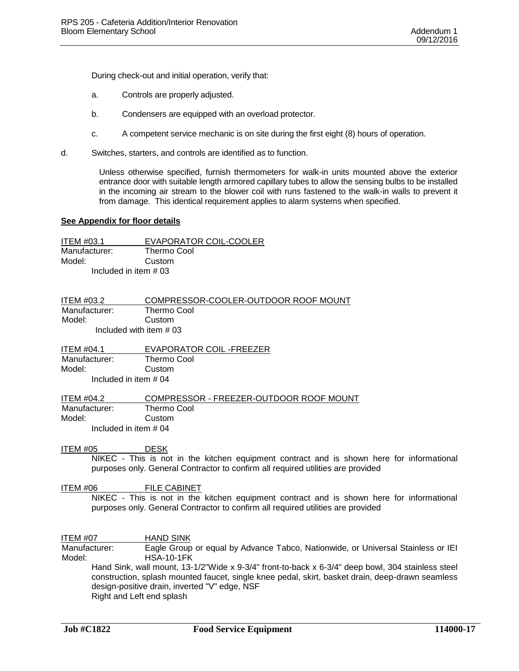During check-out and initial operation, verify that:

- a. Controls are properly adjusted.
- b. Condensers are equipped with an overload protector.
- c. A competent service mechanic is on site during the first eight (8) hours of operation.
- d. Switches, starters, and controls are identified as to function.

Unless otherwise specified, furnish thermometers for walk-in units mounted above the exterior entrance door with suitable length armored capillary tubes to allow the sensing bulbs to be installed in the incoming air stream to the blower coil with runs fastened to the walk-in walls to prevent it from damage. This identical requirement applies to alarm systems when specified.

#### **See Appendix for floor details**

ITEM #03.1 EVAPORATOR COIL-COOLER Manufacturer: Thermo Cool Model: Custom Included in item # 03

| <b>ITEM #03.2</b>        | COMPRESSOR-COOLER-OUTDOOR ROOF MOUNT |
|--------------------------|--------------------------------------|
| Manufacturer:            | Thermo Cool                          |
| Model:                   | Custom                               |
| Included with item $#03$ |                                      |

ITEM #04.1 EVAPORATOR COIL -FREEZER Manufacturer: Thermo Cool Model: Custom Included in item # 04

ITEM #04.2 COMPRESSOR - FREEZER-OUTDOOR ROOF MOUNT Manufacturer: Thermo Cool Model: Custom Included in item # 04

#### ITEM #05 DESK

NIKEC - This is not in the kitchen equipment contract and is shown here for informational purposes only. General Contractor to confirm all required utilities are provided

#### ITEM #06 FILE CABINET

NIKEC - This is not in the kitchen equipment contract and is shown here for informational purposes only. General Contractor to confirm all required utilities are provided

ITEM #07 HAND SINK Manufacturer: Eagle Group or equal by Advance Tabco, Nationwide, or Universal Stainless or IEI Model: HSA-10-1FK Hand Sink, wall mount, 13-1/2"Wide x 9-3/4" front-to-back x 6-3/4" deep bowl, 304 stainless steel construction, splash mounted faucet, single knee pedal, skirt, basket drain, deep-drawn seamless design-positive drain, inverted "V" edge, NSF Right and Left end splash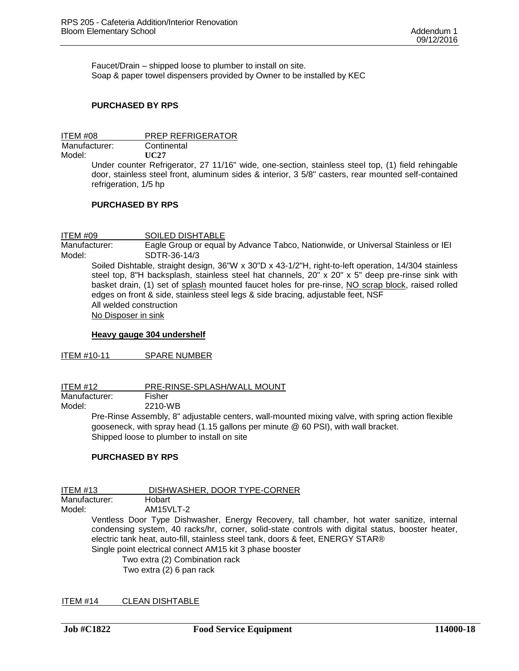Faucet/Drain – shipped loose to plumber to install on site. Soap & paper towel dispensers provided by Owner to be installed by KEC

#### **PURCHASED BY RPS**

ITEM #08 PREP REFRIGERATOR Manufacturer: Continental Model: **UC27** Under counter Refrigerator, 27 11/16" wide, one-section, stainless steel top, (1) field rehingable door, stainless steel front, aluminum sides & interior, 3 5/8" casters, rear mounted self-contained refrigeration, 1/5 hp

#### **PURCHASED BY RPS**

ITEM #09 SOILED DISHTABLE Manufacturer: Eagle Group or equal by Advance Tabco, Nationwide, or Universal Stainless or IEI Model: SDTR-36-14/3 Soiled Dishtable, straight design, 36"W x 30"D x 43-1/2"H, right-to-left operation, 14/304 stainless steel top, 8"H backsplash, stainless steel hat channels, 20" x 20" x 5" deep pre-rinse sink with basket drain, (1) set of splash mounted faucet holes for pre-rinse, NO scrap block, raised rolled edges on front & side, stainless steel legs & side bracing, adjustable feet, NSF All welded construction No Disposer in sink

#### **Heavy gauge 304 undershelf**

ITEM #10-11 SPARE NUMBER

ITEM #12 PRE-RINSE-SPLASH/WALL MOUNT Manufacturer: Fisher<br>Model: 2210-V 2210-WB

> Pre-Rinse Assembly, 8" adjustable centers, wall-mounted mixing valve, with spring action flexible gooseneck, with spray head (1.15 gallons per minute @ 60 PSI), with wall bracket. Shipped loose to plumber to install on site

#### **PURCHASED BY RPS**

ITEM #13 DISHWASHER, DOOR TYPE-CORNER Manufacturer: Hobart<br>Model: AM15VI AM15VLT-2 Ventless Door Type Dishwasher, Energy Recovery, tall chamber, hot water sanitize, internal condensing system, 40 racks/hr, corner, solid-state controls with digital status, booster heater, electric tank heat, auto-fill, stainless steel tank, doors & feet, ENERGY STAR®

Single point electrical connect AM15 kit 3 phase booster

Two extra (2) Combination rack Two extra (2) 6 pan rack

ITEM #14 CLEAN DISHTABLE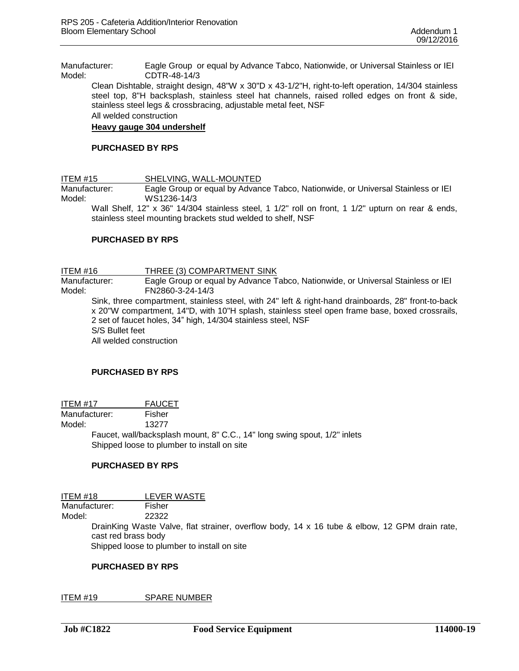Manufacturer: Eagle Group or equal by Advance Tabco, Nationwide, or Universal Stainless or IEI Model: CDTR-48-14/3

Clean Dishtable, straight design, 48"W x 30"D x 43-1/2"H, right-to-left operation, 14/304 stainless steel top, 8"H backsplash, stainless steel hat channels, raised rolled edges on front & side, stainless steel legs & crossbracing, adjustable metal feet, NSF

All welded construction

#### **Heavy gauge 304 undershelf**

#### **PURCHASED BY RPS**

ITEM #15 SHELVING, WALL-MOUNTED

Manufacturer: Eagle Group or equal by Advance Tabco, Nationwide, or Universal Stainless or IEI Model: WS1236-14/3

Wall Shelf, 12" x 36" 14/304 stainless steel, 1 1/2" roll on front, 1 1/2" upturn on rear & ends, stainless steel mounting brackets stud welded to shelf, NSF

#### **PURCHASED BY RPS**

ITEM #16 THREE (3) COMPARTMENT SINK

Manufacturer: Eagle Group or equal by Advance Tabco, Nationwide, or Universal Stainless or IEI Model: FN2860-3-24-14/3

Sink, three compartment, stainless steel, with 24" left & right-hand drainboards, 28" front-to-back x 20"W compartment, 14"D, with 10"H splash, stainless steel open frame base, boxed crossrails, 2 set of faucet holes, 34" high, 14/304 stainless steel, NSF S/S Bullet feet All welded construction

#### **PURCHASED BY RPS**

ITEM #17 FAUCET

Manufacturer: Fisher

Model: 13277

Faucet, wall/backsplash mount, 8" C.C., 14" long swing spout, 1/2" inlets Shipped loose to plumber to install on site

#### **PURCHASED BY RPS**

ITEM #18 LEVER WASTE Manufacturer: Fisher Model: 22322 DrainKing Waste Valve, flat strainer, overflow body, 14 x 16 tube & elbow, 12 GPM drain rate, cast red brass body Shipped loose to plumber to install on site

#### **PURCHASED BY RPS**

ITEM #19 SPARE NUMBER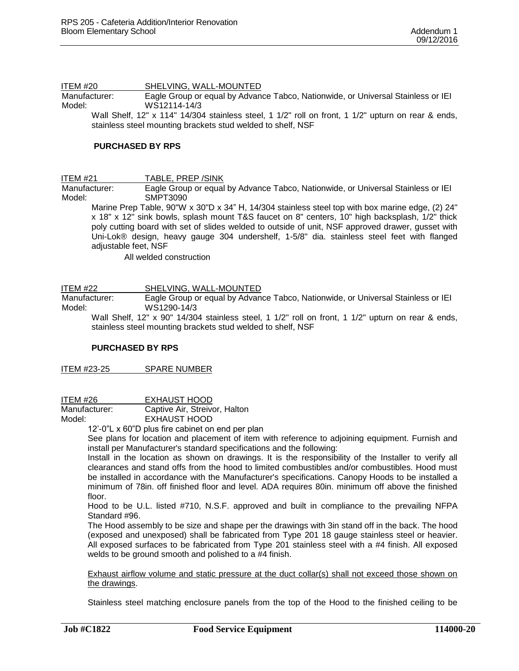ITEM #20 SHELVING, WALL-MOUNTED Manufacturer: Eagle Group or equal by Advance Tabco, Nationwide, or Universal Stainless or IEI Model: WS12114-14/3

Wall Shelf, 12" x 114" 14/304 stainless steel, 1 1/2" roll on front, 1 1/2" upturn on rear & ends, stainless steel mounting brackets stud welded to shelf, NSF

#### **PURCHASED BY RPS**

ITEM #21 TABLE, PREP /SINK

Manufacturer: Eagle Group or equal by Advance Tabco, Nationwide, or Universal Stainless or IEI Model: SMPT3090

Marine Prep Table, 90"W x 30"D x 34" H, 14/304 stainless steel top with box marine edge, (2) 24" x 18" x 12" sink bowls, splash mount T&S faucet on 8" centers, 10" high backsplash, 1/2" thick poly cutting board with set of slides welded to outside of unit, NSF approved drawer, gusset with Uni-Lok® design, heavy gauge 304 undershelf, 1-5/8" dia. stainless steel feet with flanged adiustable feet. NSF

All welded construction

ITEM #22 SHELVING, WALL-MOUNTED

Manufacturer: Eagle Group or equal by Advance Tabco, Nationwide, or Universal Stainless or IEI<br>Model: WS1290-14/3 WS1290-14/3

Wall Shelf, 12" x 90" 14/304 stainless steel, 1 1/2" roll on front, 1 1/2" upturn on rear & ends, stainless steel mounting brackets stud welded to shelf, NSF

#### **PURCHASED BY RPS**

ITEM #23-25 SPARE NUMBER

ITEM #26 EXHAUST HOOD

Manufacturer: Captive Air, Streivor, Halton

Model: EXHAUST HOOD

12'-0"L x 60"D plus fire cabinet on end per plan

See plans for location and placement of item with reference to adjoining equipment. Furnish and install per Manufacturer's standard specifications and the following:

Install in the location as shown on drawings. It is the responsibility of the Installer to verify all clearances and stand offs from the hood to limited combustibles and/or combustibles. Hood must be installed in accordance with the Manufacturer's specifications. Canopy Hoods to be installed a minimum of 78in. off finished floor and level. ADA requires 80in. minimum off above the finished floor.

Hood to be U.L. listed #710, N.S.F. approved and built in compliance to the prevailing NFPA Standard #96.

The Hood assembly to be size and shape per the drawings with 3in stand off in the back. The hood (exposed and unexposed) shall be fabricated from Type 201 18 gauge stainless steel or heavier. All exposed surfaces to be fabricated from Type 201 stainless steel with a #4 finish. All exposed welds to be ground smooth and polished to a #4 finish.

Exhaust airflow volume and static pressure at the duct collar(s) shall not exceed those shown on the drawings.

Stainless steel matching enclosure panels from the top of the Hood to the finished ceiling to be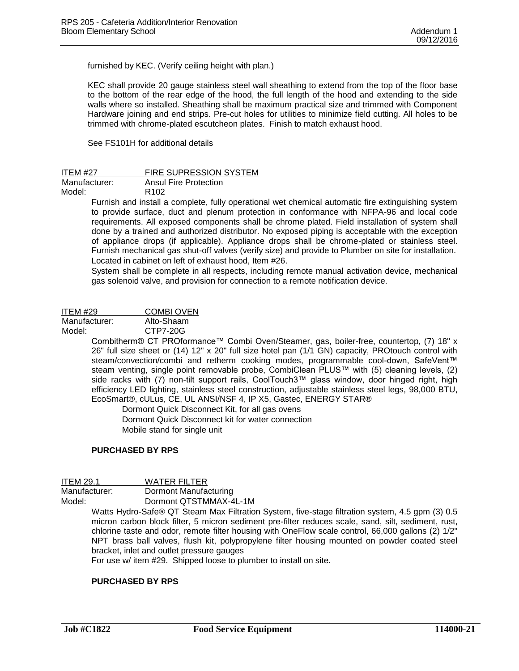furnished by KEC. (Verify ceiling height with plan.)

KEC shall provide 20 gauge stainless steel wall sheathing to extend from the top of the floor base to the bottom of the rear edge of the hood, the full length of the hood and extending to the side walls where so installed. Sheathing shall be maximum practical size and trimmed with Component Hardware joining and end strips. Pre-cut holes for utilities to minimize field cutting. All holes to be trimmed with chrome-plated escutcheon plates. Finish to match exhaust hood.

See FS101H for additional details

| <b>ITEM #27</b> | <b>FIRE SUPRESSION SYSTEM</b> |
|-----------------|-------------------------------|
| Manufacturer:   | Ansul Fire Protection         |
| Model:          | R <sub>102</sub>              |

Furnish and install a complete, fully operational wet chemical automatic fire extinguishing system to provide surface, duct and plenum protection in conformance with NFPA-96 and local code requirements. All exposed components shall be chrome plated. Field installation of system shall done by a trained and authorized distributor. No exposed piping is acceptable with the exception of appliance drops (if applicable). Appliance drops shall be chrome-plated or stainless steel. Furnish mechanical gas shut-off valves (verify size) and provide to Plumber on site for installation. Located in cabinet on left of exhaust hood, Item #26.

System shall be complete in all respects, including remote manual activation device, mechanical gas solenoid valve, and provision for connection to a remote notification device.

ITEM #29 COMBI OVEN

Manufacturer: Alto-Shaam

Model: CTP7-20G

Combitherm® CT PROformance™ Combi Oven/Steamer, gas, boiler-free, countertop, (7) 18" x 26" full size sheet or (14) 12" x 20" full size hotel pan (1/1 GN) capacity, PROtouch control with steam/convection/combi and retherm cooking modes, programmable cool-down, SafeVent™ steam venting, single point removable probe, CombiClean PLUS™ with (5) cleaning levels, (2) side racks with (7) non-tilt support rails, CoolTouch3™ glass window, door hinged right, high efficiency LED lighting, stainless steel construction, adjustable stainless steel legs, 98,000 BTU, EcoSmart®, cULus, CE, UL ANSI/NSF 4, IP X5, Gastec, ENERGY STAR®

Dormont Quick Disconnect Kit, for all gas ovens

Dormont Quick Disconnect kit for water connection Mobile stand for single unit

#### **PURCHASED BY RPS**

| ITEM 29.1     | <b>WATER FILTER</b>    |
|---------------|------------------------|
| Manufacturer: | Dormont Manufacturing  |
| Model:        | Dormont QTSTMMAX-4L-1M |

Watts Hydro-Safe® QT Steam Max Filtration System, five-stage filtration system, 4.5 gpm (3) 0.5 micron carbon block filter, 5 micron sediment pre-filter reduces scale, sand, silt, sediment, rust, chlorine taste and odor, remote filter housing with OneFlow scale control, 66,000 gallons (2) 1/2" NPT brass ball valves, flush kit, polypropylene filter housing mounted on powder coated steel bracket, inlet and outlet pressure gauges

For use w/ item #29. Shipped loose to plumber to install on site.

#### **PURCHASED BY RPS**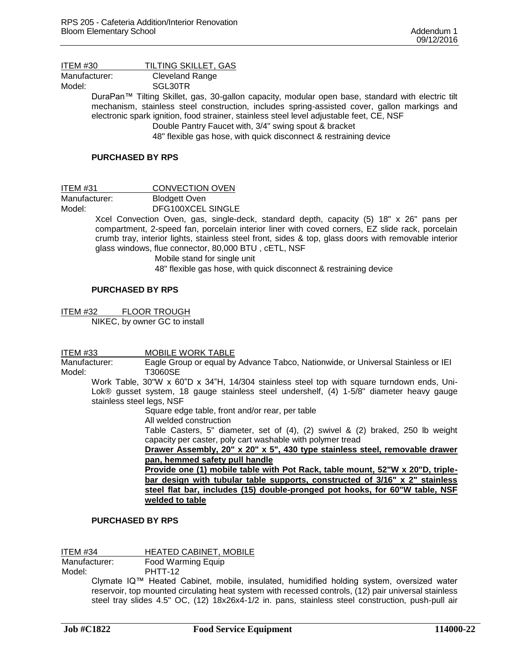| TILTING SKILLET, GAS<br>ITEM #30 |
|----------------------------------|
|----------------------------------|

Manufacturer: Cleveland Range

Model: SGL30TR

DuraPan™ Tilting Skillet, gas, 30-gallon capacity, modular open base, standard with electric tilt mechanism, stainless steel construction, includes spring-assisted cover, gallon markings and electronic spark ignition, food strainer, stainless steel level adjustable feet, CE, NSF

Double Pantry Faucet with, 3/4" swing spout & bracket

48" flexible gas hose, with quick disconnect & restraining device

#### **PURCHASED BY RPS**

ITEM #31 CONVECTION OVEN

Manufacturer: Blodgett Oven Model: DFG100XCEL SINGLE

> Xcel Convection Oven, gas, single-deck, standard depth, capacity (5) 18" x 26" pans per compartment, 2-speed fan, porcelain interior liner with coved corners, EZ slide rack, porcelain crumb tray, interior lights, stainless steel front, sides & top, glass doors with removable interior glass windows, flue connector, 80,000 BTU , cETL, NSF

> > Mobile stand for single unit 48" flexible gas hose, with quick disconnect & restraining device

#### **PURCHASED BY RPS**

ITEM #32 FLOOR TROUGH NIKEC, by owner GC to install

ITEM #33 MOBILE WORK TABLE

Manufacturer: Eagle Group or equal by Advance Tabco, Nationwide, or Universal Stainless or IEI Model: T3060SE

Work Table, 30"W x 60"D x 34"H, 14/304 stainless steel top with square turndown ends, Uni-Lok® gusset system, 18 gauge stainless steel undershelf, (4) 1-5/8" diameter heavy gauge stainless steel legs, NSF

Square edge table, front and/or rear, per table

All welded construction

Table Casters, 5" diameter, set of (4), (2) swivel & (2) braked, 250 lb weight capacity per caster, poly cart washable with polymer tread

**Drawer Assembly, 20" x 20" x 5", 430 type stainless steel, removable drawer pan, hemmed safety pull handle**

**Provide one (1) mobile table with Pot Rack, table mount, 52"W x 20"D, triplebar design with tubular table supports, constructed of 3/16" x 2" stainless steel flat bar, includes (15) double-pronged pot hooks, for 60"W table, NSF welded to table**

#### **PURCHASED BY RPS**

ITEM #34 HEATED CABINET, MOBILE<br>Manufacturer: Food Warming Equip Food Warming Equip

Model: PHTT-12

Clymate IQ™ Heated Cabinet, mobile, insulated, humidified holding system, oversized water reservoir, top mounted circulating heat system with recessed controls, (12) pair universal stainless steel tray slides 4.5" OC, (12) 18x26x4-1/2 in. pans, stainless steel construction, push-pull air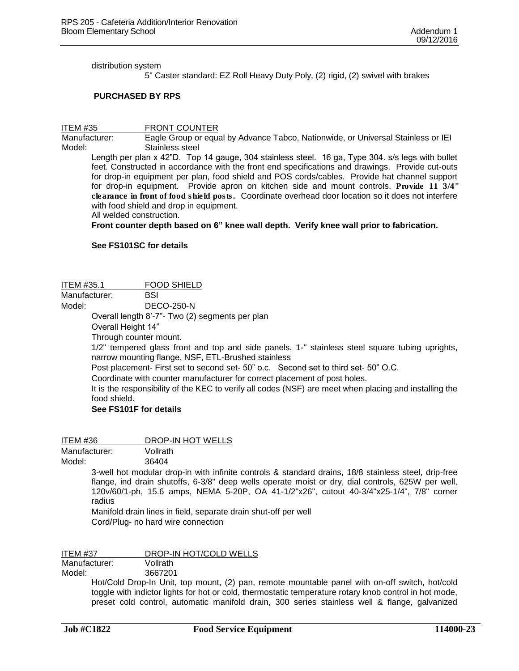distribution system

5" Caster standard: EZ Roll Heavy Duty Poly, (2) rigid, (2) swivel with brakes

#### **PURCHASED BY RPS**

ITEM #35 FRONT COUNTER Manufacturer: Eagle Group or equal by Advance Tabco, Nationwide, or Universal Stainless or IEI Model: Stainless steel

Length per plan x 42"D. Top 14 gauge, 304 stainless steel. 16 ga, Type 304. s/s legs with bullet feet. Constructed in accordance with the front end specifications and drawings. Provide cut-outs for drop-in equipment per plan, food shield and POS cords/cables. Provide hat channel support for drop-in equipment. Provide apron on kitchen side and mount controls. **Provide 11 3/4" clearance in front of food shield posts.** Coordinate overhead door location so it does not interfere with food shield and drop in equipment.

All welded construction.

**Front counter depth based on 6" knee wall depth. Verify knee wall prior to fabrication.** 

#### **See FS101SC for details**

#### ITEM #35.1 FOOD SHIELD

Manufacturer: BSI

Model: DECO-250-N

Overall length 8'-7"- Two (2) segments per plan

Overall Height 14"

Through counter mount.

1/2" tempered glass front and top and side panels, 1-" stainless steel square tubing uprights, narrow mounting flange, NSF, ETL-Brushed stainless

Post placement- First set to second set- 50" o.c. Second set to third set- 50" O.C.

Coordinate with counter manufacturer for correct placement of post holes.

It is the responsibility of the KEC to verify all codes (NSF) are meet when placing and installing the food shield.

#### **See FS101F for details**

ITEM #36 DROP-IN HOT WELLS

Manufacturer: Vollrath

Model: 36404

3-well hot modular drop-in with infinite controls & standard drains, 18/8 stainless steel, drip-free flange, ind drain shutoffs, 6-3/8" deep wells operate moist or dry, dial controls, 625W per well, 120v/60/1-ph, 15.6 amps, NEMA 5-20P, OA 41-1/2"x26", cutout 40-3/4"x25-1/4", 7/8" corner radius

Manifold drain lines in field, separate drain shut-off per well Cord/Plug- no hard wire connection

ITEM #37 DROP-IN HOT/COLD WELLS

Manufacturer: Vollrath

Model: 3667201

Hot/Cold Drop-In Unit, top mount, (2) pan, remote mountable panel with on-off switch, hot/cold toggle with indictor lights for hot or cold, thermostatic temperature rotary knob control in hot mode, preset cold control, automatic manifold drain, 300 series stainless well & flange, galvanized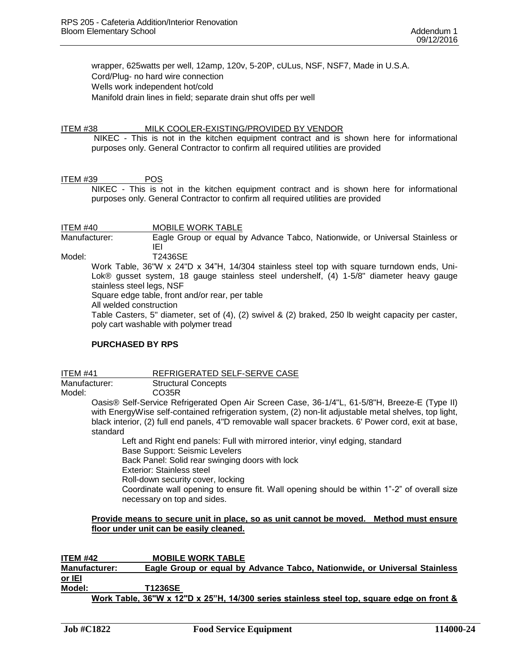wrapper, 625watts per well, 12amp, 120v, 5-20P, cULus, NSF, NSF7, Made in U.S.A. Cord/Plug- no hard wire connection Wells work independent hot/cold Manifold drain lines in field; separate drain shut offs per well

#### ITEM #38 MILK COOLER-EXISTING/PROVIDED BY VENDOR

NIKEC - This is not in the kitchen equipment contract and is shown here for informational purposes only. General Contractor to confirm all required utilities are provided

#### ITEM #39 POS

NIKEC - This is not in the kitchen equipment contract and is shown here for informational purposes only. General Contractor to confirm all required utilities are provided

ITEM #40 MOBILE WORK TABLE Manufacturer: Eagle Group or equal by Advance Tabco, Nationwide, or Universal Stainless or IEI Model: T2436SE

Work Table, 36"W x 24"D x 34"H, 14/304 stainless steel top with square turndown ends, Uni-Lok® gusset system, 18 gauge stainless steel undershelf, (4) 1-5/8" diameter heavy gauge stainless steel legs, NSF Square edge table, front and/or rear, per table

All welded construction

Table Casters, 5" diameter, set of (4), (2) swivel & (2) braked, 250 lb weight capacity per caster, poly cart washable with polymer tread

### **PURCHASED BY RPS**

ITEM #41 REFRIGERATED SELF-SERVE CASE Manufacturer: Structural Concepts Model: CO35R Oasis® Self-Service Refrigerated Open Air Screen Case, 36-1/4"L, 61-5/8"H, Breeze-E (Type II)

with EnergyWise self-contained refrigeration system, (2) non-lit adjustable metal shelves, top light, black interior, (2) full end panels, 4"D removable wall spacer brackets. 6' Power cord, exit at base, standard

Left and Right end panels: Full with mirrored interior, vinyl edging, standard Base Support: Seismic Levelers Back Panel: Solid rear swinging doors with lock Exterior: Stainless steel Roll-down security cover, locking Coordinate wall opening to ensure fit. Wall opening should be within 1"-2" of overall size necessary on top and sides.

#### **Provide means to secure unit in place, so as unit cannot be moved. Method must ensure floor under unit can be easily cleaned.**

**ITEM #42 MOBILE WORK TABLE Manufacturer: Eagle Group or equal by Advance Tabco, Nationwide, or Universal Stainless or IEI Model: T1236SE Work Table, 36"W x 12"D x 25"H, 14/300 series stainless steel top, square edge on front &**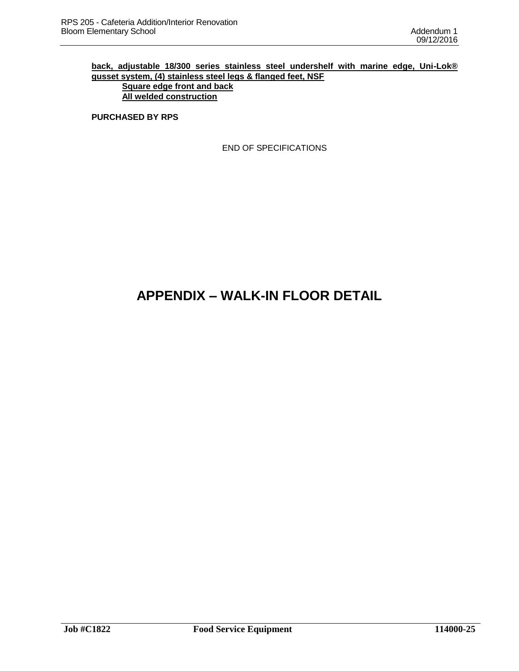### **back, adjustable 18/300 series stainless steel undershelf with marine edge, Uni-Lok® gusset system, (4) stainless steel legs & flanged feet, NSF**

**Square edge front and back All welded construction**

**PURCHASED BY RPS**

END OF SPECIFICATIONS

# **APPENDIX – WALK-IN FLOOR DETAIL**